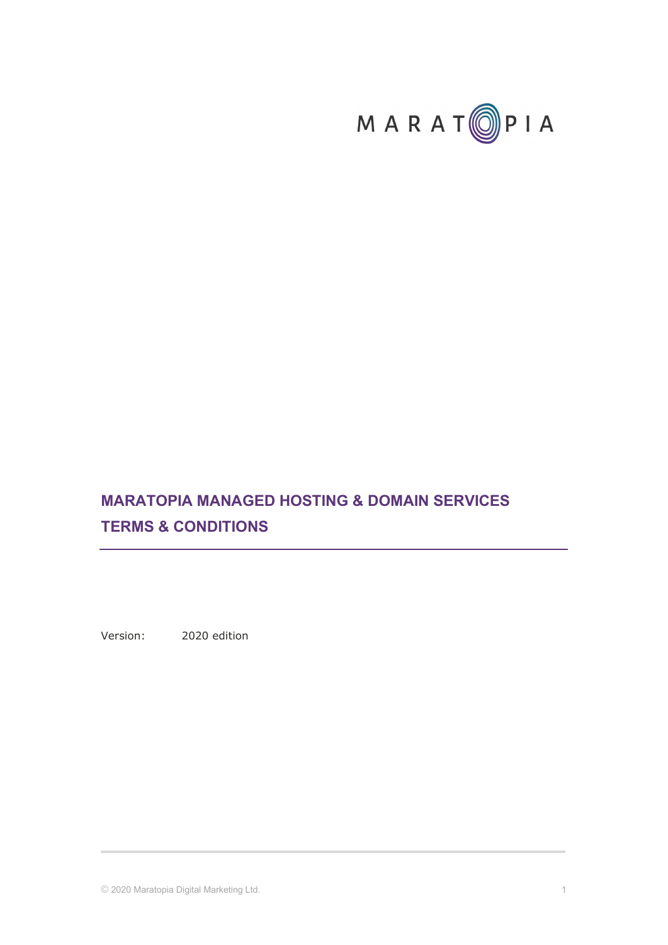

# MARATOPIA MANAGED HOSTING & DOMAIN SERVICES TERMS & CONDITIONS

Version: 2020 edition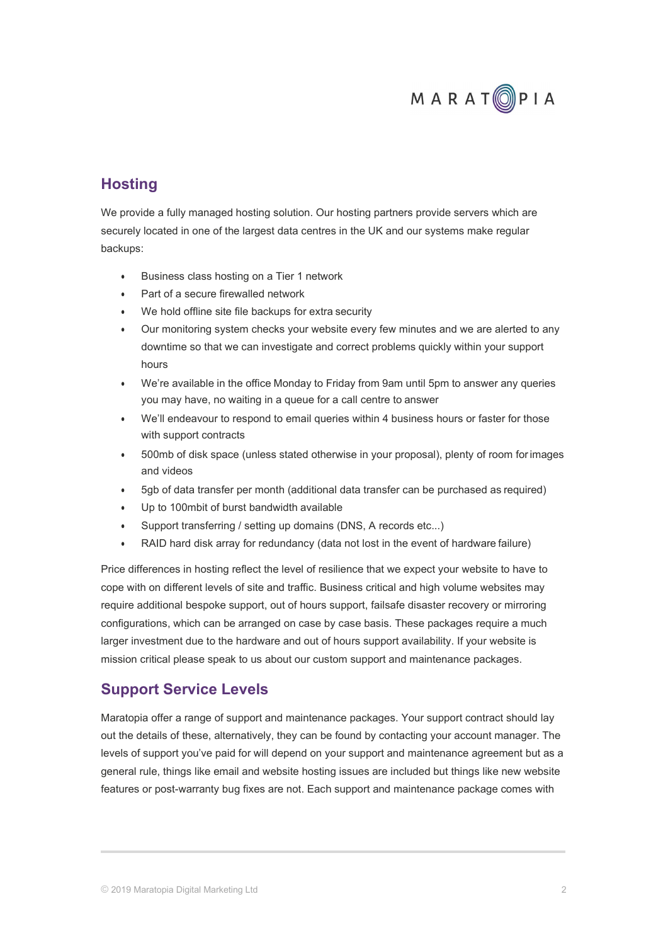

## **Hosting**

We provide a fully managed hosting solution. Our hosting partners provide servers which are securely located in one of the largest data centres in the UK and our systems make regular backups:

- Business class hosting on a Tier 1 network
- Part of a secure firewalled network
- We hold offline site file backups for extra security
- Our monitoring system checks your website every few minutes and we are alerted to any downtime so that we can investigate and correct problems quickly within your support hours
- We're available in the office Monday to Friday from 9am until 5pm to answer any queries you may have, no waiting in a queue for a call centre to answer
- We'll endeavour to respond to email queries within 4 business hours or faster for those with support contracts
- 500mb of disk space (unless stated otherwise in your proposal), plenty of room for images and videos
- 5gb of data transfer per month (additional data transfer can be purchased as required)
- Up to 100mbit of burst bandwidth available
- Support transferring / setting up domains (DNS, A records etc...)
- RAID hard disk array for redundancy (data not lost in the event of hardware failure)

Price differences in hosting reflect the level of resilience that we expect your website to have to cope with on different levels of site and traffic. Business critical and high volume websites may require additional bespoke support, out of hours support, failsafe disaster recovery or mirroring configurations, which can be arranged on case by case basis. These packages require a much larger investment due to the hardware and out of hours support availability. If your website is mission critical please speak to us about our custom support and maintenance packages.

## Support Service Levels

Maratopia offer a range of support and maintenance packages. Your support contract should lay out the details of these, alternatively, they can be found by contacting your account manager. The levels of support you've paid for will depend on your support and maintenance agreement but as a general rule, things like email and website hosting issues are included but things like new website features or post-warranty bug fixes are not. Each support and maintenance package comes with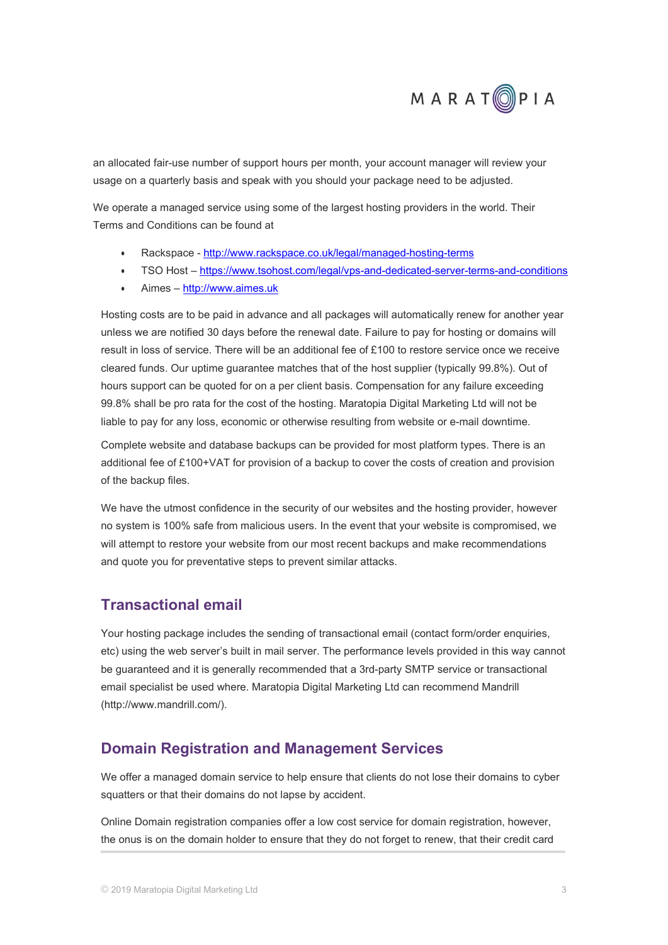

an allocated fair-use number of support hours per month, your account manager will review your usage on a quarterly basis and speak with you should your package need to be adjusted.

We operate a managed service using some of the largest hosting providers in the world. Their Terms and Conditions can be found at

- Rackspace http://www.rackspace.co.uk/legal/managed-hosting-terms
- TSO Host https://www.tsohost.com/legal/vps-and-dedicated-server-terms-and-conditions
- Aimes http://www.aimes.uk

Hosting costs are to be paid in advance and all packages will automatically renew for another year unless we are notified 30 days before the renewal date. Failure to pay for hosting or domains will result in loss of service. There will be an additional fee of £100 to restore service once we receive cleared funds. Our uptime guarantee matches that of the host supplier (typically 99.8%). Out of hours support can be quoted for on a per client basis. Compensation for any failure exceeding 99.8% shall be pro rata for the cost of the hosting. Maratopia Digital Marketing Ltd will not be liable to pay for any loss, economic or otherwise resulting from website or e-mail downtime.

Complete website and database backups can be provided for most platform types. There is an additional fee of £100+VAT for provision of a backup to cover the costs of creation and provision of the backup files.

We have the utmost confidence in the security of our websites and the hosting provider, however no system is 100% safe from malicious users. In the event that your website is compromised, we will attempt to restore your website from our most recent backups and make recommendations and quote you for preventative steps to prevent similar attacks.

### Transactional email

Your hosting package includes the sending of transactional email (contact form/order enquiries, etc) using the web server's built in mail server. The performance levels provided in this way cannot be guaranteed and it is generally recommended that a 3rd-party SMTP service or transactional email specialist be used where. Maratopia Digital Marketing Ltd can recommend Mandrill (http://www.mandrill.com/).

### Domain Registration and Management Services

We offer a managed domain service to help ensure that clients do not lose their domains to cyber squatters or that their domains do not lapse by accident.

Online Domain registration companies offer a low cost service for domain registration, however, the onus is on the domain holder to ensure that they do not forget to renew, that their credit card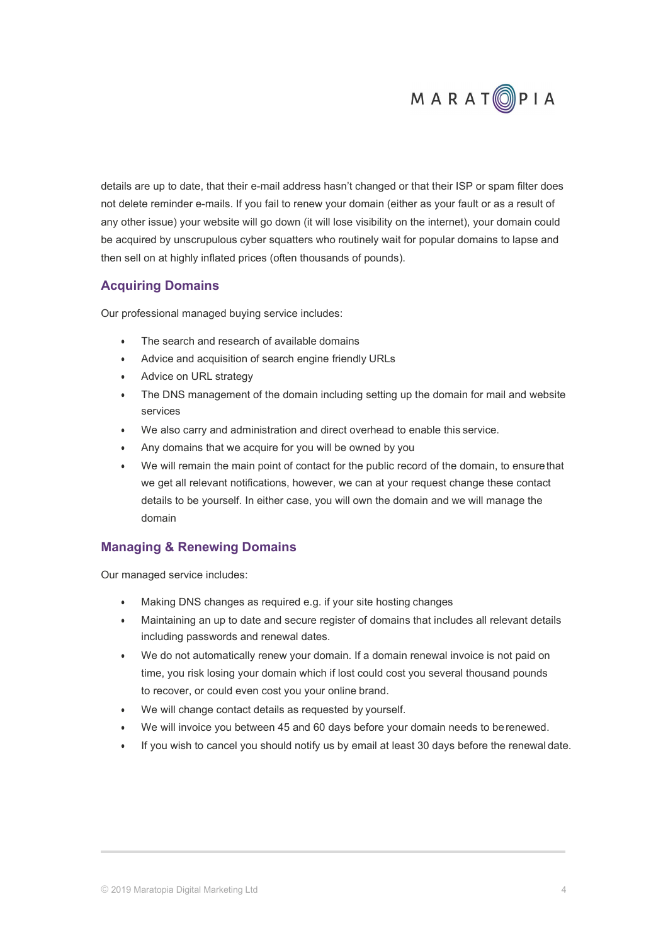

details are up to date, that their e-mail address hasn't changed or that their ISP or spam filter does not delete reminder e-mails. If you fail to renew your domain (either as your fault or as a result of any other issue) your website will go down (it will lose visibility on the internet), your domain could be acquired by unscrupulous cyber squatters who routinely wait for popular domains to lapse and then sell on at highly inflated prices (often thousands of pounds).

#### Acquiring Domains

Our professional managed buying service includes:

- The search and research of available domains
- Advice and acquisition of search engine friendly URLs
- Advice on URL strategy
- The DNS management of the domain including setting up the domain for mail and website services
- We also carry and administration and direct overhead to enable this service.
- Any domains that we acquire for you will be owned by you
- We will remain the main point of contact for the public record of the domain, to ensure that we get all relevant notifications, however, we can at your request change these contact details to be yourself. In either case, you will own the domain and we will manage the domain

### Managing & Renewing Domains

Our managed service includes:

- Making DNS changes as required e.g. if your site hosting changes
- Maintaining an up to date and secure register of domains that includes all relevant details including passwords and renewal dates.
- We do not automatically renew your domain. If a domain renewal invoice is not paid on time, you risk losing your domain which if lost could cost you several thousand pounds to recover, or could even cost you your online brand.
- We will change contact details as requested by yourself.
- We will invoice you between 45 and 60 days before your domain needs to be renewed.
- If you wish to cancel you should notify us by email at least 30 days before the renewal date.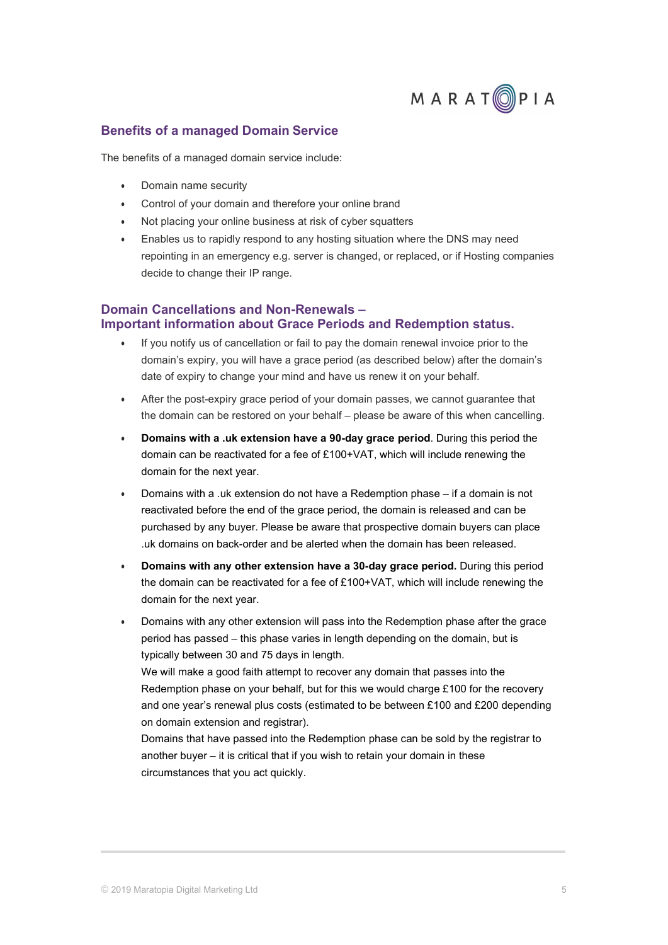

#### Benefits of a managed Domain Service

The benefits of a managed domain service include:

- Domain name security
- Control of your domain and therefore your online brand
- Not placing your online business at risk of cyber squatters
- Enables us to rapidly respond to any hosting situation where the DNS may need repointing in an emergency e.g. server is changed, or replaced, or if Hosting companies decide to change their IP range.

#### Domain Cancellations and Non-Renewals – Important information about Grace Periods and Redemption status.

- If you notify us of cancellation or fail to pay the domain renewal invoice prior to the domain's expiry, you will have a grace period (as described below) after the domain's date of expiry to change your mind and have us renew it on your behalf.
- After the post-expiry grace period of your domain passes, we cannot guarantee that the domain can be restored on your behalf – please be aware of this when cancelling.
- Domains with a .uk extension have a 90-day grace period. During this period the domain can be reactivated for a fee of £100+VAT, which will include renewing the domain for the next year.
- Domains with a .uk extension do not have a Redemption phase if a domain is not reactivated before the end of the grace period, the domain is released and can be purchased by any buyer. Please be aware that prospective domain buyers can place .uk domains on back-order and be alerted when the domain has been released.
- Domains with any other extension have a 30-day grace period. During this period the domain can be reactivated for a fee of £100+VAT, which will include renewing the domain for the next year.
- Domains with any other extension will pass into the Redemption phase after the grace period has passed – this phase varies in length depending on the domain, but is typically between 30 and 75 days in length. We will make a good faith attempt to recover any domain that passes into the Redemption phase on your behalf, but for this we would charge £100 for the recovery

and one year's renewal plus costs (estimated to be between £100 and £200 depending on domain extension and registrar).

Domains that have passed into the Redemption phase can be sold by the registrar to another buyer – it is critical that if you wish to retain your domain in these circumstances that you act quickly.